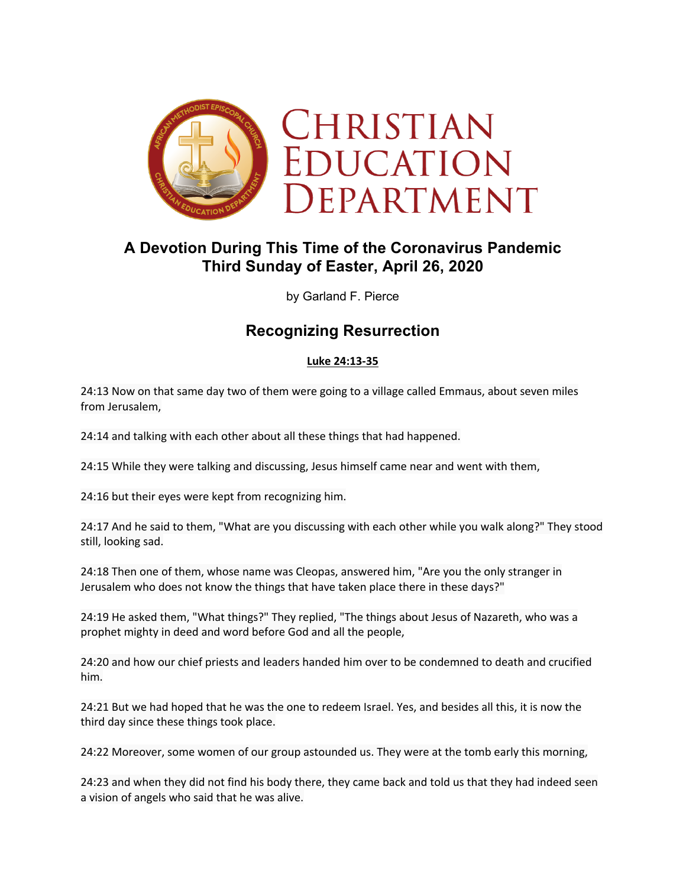

# **A Devotion During This Time of the Coronavirus Pandemic Third Sunday of Easter, April 26, 2020**

by Garland F. Pierce

## **Recognizing Resurrection**

#### **Luke 24:13-35**

24:13 Now on that same day two of them were going to a village called Emmaus, about seven miles from Jerusalem,

24:14 and talking with each other about all these things that had happened.

24:15 While they were talking and discussing, Jesus himself came near and went with them,

24:16 but their eyes were kept from recognizing him.

24:17 And he said to them, "What are you discussing with each other while you walk along?" They stood still, looking sad.

24:18 Then one of them, whose name was Cleopas, answered him, "Are you the only stranger in Jerusalem who does not know the things that have taken place there in these days?"

24:19 He asked them, "What things?" They replied, "The things about Jesus of Nazareth, who was a prophet mighty in deed and word before God and all the people,

24:20 and how our chief priests and leaders handed him over to be condemned to death and crucified him.

24:21 But we had hoped that he was the one to redeem Israel. Yes, and besides all this, it is now the third day since these things took place.

24:22 Moreover, some women of our group astounded us. They were at the tomb early this morning,

24:23 and when they did not find his body there, they came back and told us that they had indeed seen a vision of angels who said that he was alive.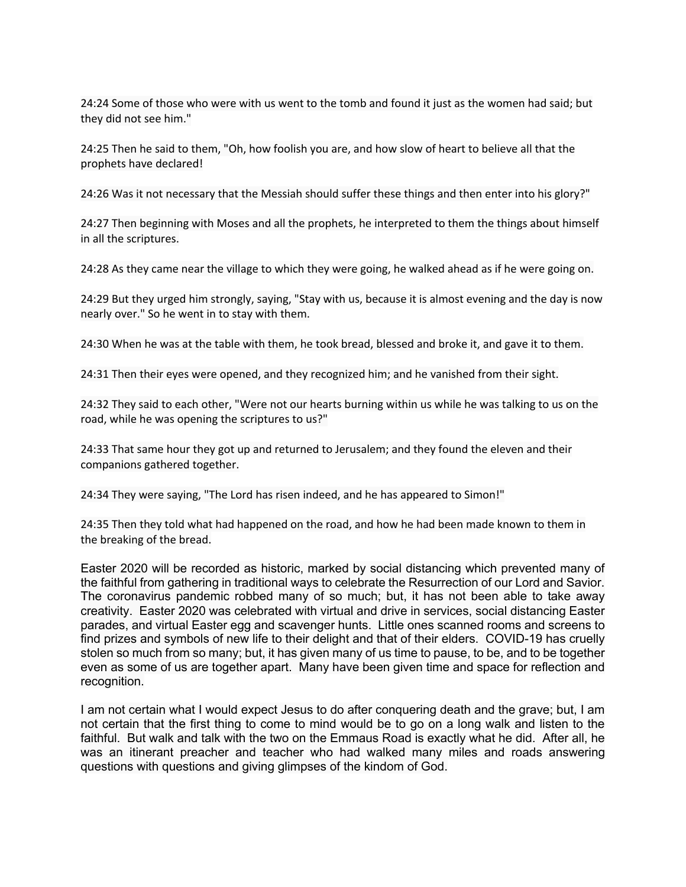24:24 Some of those who were with us went to the tomb and found it just as the women had said; but they did not see him."

24:25 Then he said to them, "Oh, how foolish you are, and how slow of heart to believe all that the prophets have declared!

24:26 Was it not necessary that the Messiah should suffer these things and then enter into his glory?"

24:27 Then beginning with Moses and all the prophets, he interpreted to them the things about himself in all the scriptures.

24:28 As they came near the village to which they were going, he walked ahead as if he were going on.

24:29 But they urged him strongly, saying, "Stay with us, because it is almost evening and the day is now nearly over." So he went in to stay with them.

24:30 When he was at the table with them, he took bread, blessed and broke it, and gave it to them.

24:31 Then their eyes were opened, and they recognized him; and he vanished from their sight.

24:32 They said to each other, "Were not our hearts burning within us while he was talking to us on the road, while he was opening the scriptures to us?"

24:33 That same hour they got up and returned to Jerusalem; and they found the eleven and their companions gathered together.

24:34 They were saying, "The Lord has risen indeed, and he has appeared to Simon!"

24:35 Then they told what had happened on the road, and how he had been made known to them in the breaking of the bread.

Easter 2020 will be recorded as historic, marked by social distancing which prevented many of the faithful from gathering in traditional ways to celebrate the Resurrection of our Lord and Savior. The coronavirus pandemic robbed many of so much; but, it has not been able to take away creativity. Easter 2020 was celebrated with virtual and drive in services, social distancing Easter parades, and virtual Easter egg and scavenger hunts. Little ones scanned rooms and screens to find prizes and symbols of new life to their delight and that of their elders. COVID-19 has cruelly stolen so much from so many; but, it has given many of us time to pause, to be, and to be together even as some of us are together apart. Many have been given time and space for reflection and recognition.

I am not certain what I would expect Jesus to do after conquering death and the grave; but, I am not certain that the first thing to come to mind would be to go on a long walk and listen to the faithful. But walk and talk with the two on the Emmaus Road is exactly what he did. After all, he was an itinerant preacher and teacher who had walked many miles and roads answering questions with questions and giving glimpses of the kindom of God.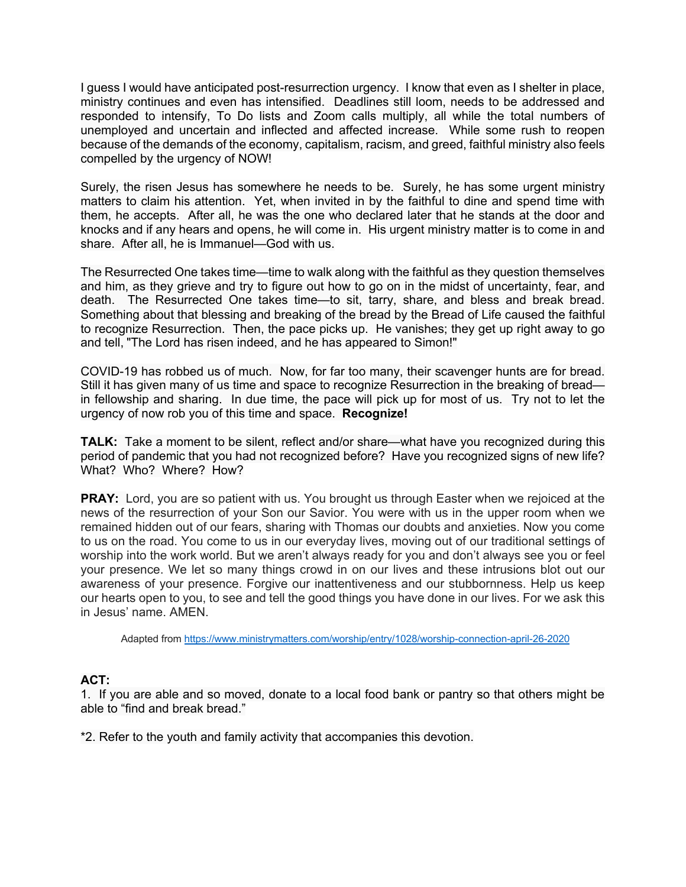I guess I would have anticipated post-resurrection urgency. I know that even as I shelter in place, ministry continues and even has intensified. Deadlines still loom, needs to be addressed and responded to intensify, To Do lists and Zoom calls multiply, all while the total numbers of unemployed and uncertain and inflected and affected increase. While some rush to reopen because of the demands of the economy, capitalism, racism, and greed, faithful ministry also feels compelled by the urgency of NOW!

Surely, the risen Jesus has somewhere he needs to be. Surely, he has some urgent ministry matters to claim his attention. Yet, when invited in by the faithful to dine and spend time with them, he accepts. After all, he was the one who declared later that he stands at the door and knocks and if any hears and opens, he will come in. His urgent ministry matter is to come in and share. After all, he is Immanuel—God with us.

The Resurrected One takes time—time to walk along with the faithful as they question themselves and him, as they grieve and try to figure out how to go on in the midst of uncertainty, fear, and death. The Resurrected One takes time—to sit, tarry, share, and bless and break bread. Something about that blessing and breaking of the bread by the Bread of Life caused the faithful to recognize Resurrection. Then, the pace picks up. He vanishes; they get up right away to go and tell, "The Lord has risen indeed, and he has appeared to Simon!"

COVID-19 has robbed us of much. Now, for far too many, their scavenger hunts are for bread. Still it has given many of us time and space to recognize Resurrection in the breaking of bread in fellowship and sharing. In due time, the pace will pick up for most of us. Try not to let the urgency of now rob you of this time and space. **Recognize!**

**TALK:** Take a moment to be silent, reflect and/or share—what have you recognized during this period of pandemic that you had not recognized before? Have you recognized signs of new life? What? Who? Where? How?

**PRAY:** Lord, you are so patient with us. You brought us through Easter when we rejoiced at the news of the resurrection of your Son our Savior. You were with us in the upper room when we remained hidden out of our fears, sharing with Thomas our doubts and anxieties. Now you come to us on the road. You come to us in our everyday lives, moving out of our traditional settings of worship into the work world. But we aren't always ready for you and don't always see you or feel your presence. We let so many things crowd in on our lives and these intrusions blot out our awareness of your presence. Forgive our inattentiveness and our stubbornness. Help us keep our hearts open to you, to see and tell the good things you have done in our lives. For we ask this in Jesus' name. AMEN.

Adapted from https://www.ministrymatters.com/worship/entry/1028/worship-connection-april-26-2020

#### **ACT:**

1.If you are able and so moved, donate to a local food bank or pantry so that others might be able to "find and break bread."

\*2. Refer to the youth and family activity that accompanies this devotion.